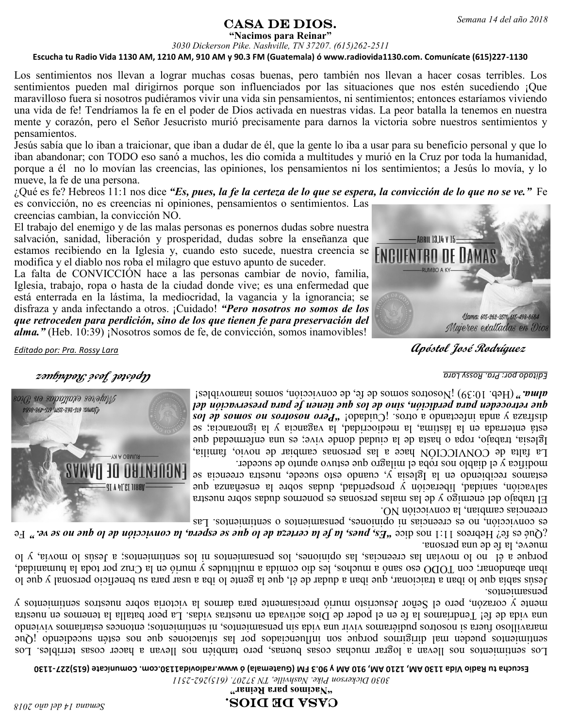## $\textbf{CASA} \textbf{ DE DIOS.}$  Semana 14 del año 2018

**"Nacimos para Reinar"**

*3030 Dickerson Pike. Nashville, TN 37207. (615)262-2511* **Escucha tu Radio Vida 1130 AM, 1210 AM, 910 AM y 90.3 FM (Guatemala) ó www.radiovida1130.com. Comunícate (615)227-1130**

Los sentimientos nos llevan a lograr muchas cosas buenas, pero también nos llevan a hacer cosas terribles. Los sentimientos pueden mal dirigirnos porque son influenciados por las situaciones que nos estén sucediendo ¡Que maravilloso fuera si nosotros pudiéramos vivir una vida sin pensamientos, ni sentimientos; entonces estaríamos viviendo una vida de fe! Tendríamos la fe en el poder de Dios activada en nuestras vidas. La peor batalla la tenemos en nuestra mente y corazón, pero el Señor Jesucristo murió precisamente para darnos la victoria sobre nuestros sentimientos y pensamientos.

Jesús sabía que lo iban a traicionar, que iban a dudar de él, que la gente lo iba a usar para su beneficio personal y que lo iban abandonar; con TODO eso sanó a muchos, les dio comida a multitudes y murió en la Cruz por toda la humanidad, porque a él no lo movían las creencias, las opiniones, los pensamientos ni los sentimientos; a Jesús lo movía, y lo mueve, la fe de una persona.

¿Qué es fe? Hebreos 11:1 nos dice *"Es, pues, la fe la certeza de lo que se espera, la convicción de lo que no se ve."* Fe es convicción, no es creencias ni opiniones, pensamientos o sentimientos. Las

creencias cambian, la convicción NO.

El trabajo del enemigo y de las malas personas es ponernos dudas sobre nuestra salvación, sanidad, liberación y prosperidad, dudas sobre la enseñanza que estamos recibiendo en la Iglesia y, cuando esto sucede, nuestra creencia se modifica y el diablo nos roba el milagro que estuvo apunto de suceder.

La falta de CONVICCIÓN hace a las personas cambiar de novio, familia, Iglesia, trabajo, ropa o hasta de la ciudad donde vive; es una enfermedad que está enterrada en la lástima, la mediocridad, la vagancia y la ignorancia; se disfraza y anda infectando a otros. ¡Cuidado! *"Pero nosotros no somos de los que retroceden para perdición, sino de los que tienen fe para preservación del alma."* (Heb. 10:39) ¡Nosotros somos de fe, de convicción, somos inamovibles!

*Editado por: Pra. Rossy Lara* **Apóstol José Rodríguez**

**Apóstol José Rodríguez** *Editado por: Pra. Rossy Lara*

modifica y el diablo nos roba el milagro que estuvo apunto de suceder. La falta de CONVICCIÓN hace a las personas cambiar de novio, familia, Iglesia, trabajo, ropa o hasta de la ciudad donde vive; es una enfermedad que está enterrada en la lástima, la mediocridad, la vagancia y la ignorancia; se *Pero apero no somos ou somosou orda* " *iopepin*<sup>2</sup> *j* somo *a opuerozano apero a czeristp que retroceden para perdición, sino de los que tienen fe para preservación del*   $\mathbf{u}$ m. 10:39)  $\mathbf{u}$ osotros somos de fe $\mathbf{v}$  e convicción, anormalista individual isomorples!

creencias cambian, la convicción NO. El trabajo del enemigo y de las malas personas es ponernos dudas sobre nuestra salvación, sanidad, liberación y prosperidad, dudas sobre la enseñanza que estamos recibiendo en la Iglesia y, cuando esto sucede, nuestra creencia se

es convicción, no es creencias in opiniones, españolares de sentimientos. Las

mueve, la fe de una persona. Fore ez Lej Hepicoz [1]: ] position of the *de letter of de lo due se esbeur lu consicción de lo que no se ve.* " Fe

sonuoruesuod Jesús sabía que lo iban a traicionar, que iban a dudar de él, que la gente lo iba a usar para su beneficio personal y que lo iban abandonar; con TODO eso sanó a muchos, les dio comida a multitudes y murió en la Cruz por toda la humanidad, porque a él no lo movían las creencias, las opiniones, los pensamientos ni los sentimientos; a Jesús lo movía, y lo

Los sentimientos nos llevan a lograr muchas cosas buenas, pero también nos llevan a hacer cosas terribles. Los suros puedens mais por sentimientos producentes antinos por la situaciones por la situaciones son internacional maravilloso fuera si nosotros pudiéramos vivir una vida sin pensamientos, ni sentimientos; entonces estaríamos viviendo una vida de fe! Tendríamos la fe en el poder de Dios activada en nuestras vidas. La peor batalla la tenemos en nuestra mente y corazón, pero el Señor Jesucristo murió precisamente para darnos la victoria sobre nuestros sentimientos y

**1130 - Escucha tu Radio Vida 1130 AM, 1210 AM, 910 AM y 90.3 FM (Guatemala) ó www.radiovida1130.com. Comunícate (615)227**

*2511 - 3030 Dickerson Pike. Nashville, TN 37207. (615)262*

**" Nacimos para Reinar "**

## CASA de Dios.

*Semana 14 del año 2018*